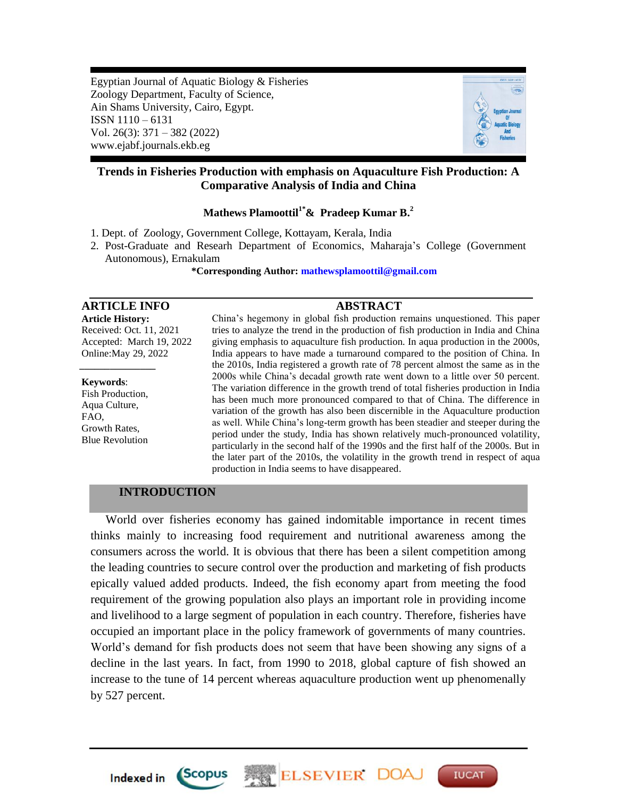Egyptian Journal of Aquatic Biology & Fisheries Zoology Department, Faculty of Science, Ain Shams University, Cairo, Egypt. ISSN 1110 – 6131 Vol. 26(3): 371 – 382 (2022) www.ejabf.journals.ekb.eg



# **Trends in Fisheries Production with emphasis on Aquaculture Fish Production: A Comparative Analysis of India and China**

# **Mathews Plamoottil1\*& Pradeep Kumar B. 2**

1. Dept. of Zoology, Government College, Kottayam, Kerala, India

2. Post-Graduate and Researh Department of Economics, Maharaja's College (Government Autonomous), Ernakulam

 **\*Corresponding Author[: mathewsplamoottil@gmail.com](mailto:mathewsplamoottil@gmail.com)**

# **ARTICLE INFO ABSTRACT**

**Article History:** Received: Oct. 11, 2021 Accepted: March 19, 2022 Online:May 29, 2022

**Keywords**: Fish Production, Aqua Culture, FAO, Growth Rates, Blue Revolution

*\_\_\_\_\_\_\_\_\_\_\_\_\_\_\_*

China's hegemony in global fish production remains unquestioned. This paper tries to analyze the trend in the production of fish production in India and China giving emphasis to aquaculture fish production. In aqua production in the 2000s, India appears to have made a turnaround compared to the position of China. In the 2010s, India registered a growth rate of 78 percent almost the same as in the 2000s while China's decadal growth rate went down to a little over 50 percent. The variation difference in the growth trend of total fisheries production in India has been much more pronounced compared to that of China. The difference in variation of the growth has also been discernible in the Aquaculture production as well. While China's long-term growth has been steadier and steeper during the period under the study, India has shown relatively much-pronounced volatility, particularly in the second half of the 1990s and the first half of the 2000s. But in the later part of the 2010s, the volatility in the growth trend in respect of aqua production in India seems to have disappeared.

## **INTRODUCTION**

 World over fisheries economy has gained indomitable importance in recent times thinks mainly to increasing food requirement and nutritional awareness among the consumers across the world. It is obvious that there has been a silent competition among the leading countries to secure control over the production and marketing of fish products epically valued added products. Indeed, the fish economy apart from meeting the food requirement of the growing population also plays an important role in providing income and livelihood to a large segment of population in each country. Therefore, fisheries have occupied an important place in the policy framework of governments of many countries. World's demand for fish products does not seem that have been showing any signs of a decline in the last years. In fact, from 1990 to 2018, global capture of fish showed an increase to the tune of 14 percent whereas aquaculture production went up phenomenally by 527 percent.

ELSEVIER DOA

**IUCAT** 



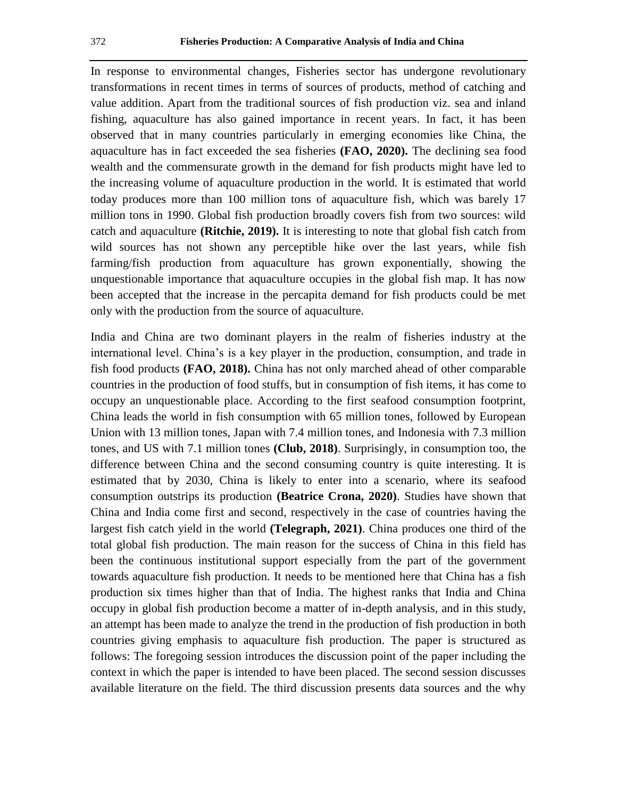In response to environmental changes, Fisheries sector has undergone revolutionary transformations in recent times in terms of sources of products, method of catching and value addition. Apart from the traditional sources of fish production viz. sea and inland fishing, aquaculture has also gained importance in recent years. In fact, it has been observed that in many countries particularly in emerging economies like China, the aquaculture has in fact exceeded the sea fisheries **(FAO, 2020).** The declining sea food wealth and the commensurate growth in the demand for fish products might have led to the increasing volume of aquaculture production in the world. It is estimated that world today produces more than 100 million tons of aquaculture fish, which was barely 17 million tons in 1990. Global fish production broadly covers fish from two sources: wild catch and aquaculture **(Ritchie, 2019).** It is interesting to note that global fish catch from wild sources has not shown any perceptible hike over the last years, while fish farming/fish production from aquaculture has grown exponentially, showing the unquestionable importance that aquaculture occupies in the global fish map. It has now been accepted that the increase in the percapita demand for fish products could be met only with the production from the source of aquaculture.

India and China are two dominant players in the realm of fisheries industry at the international level. China's is a key player in the production, consumption, and trade in fish food products **(FAO, 2018).** China has not only marched ahead of other comparable countries in the production of food stuffs, but in consumption of fish items, it has come to occupy an unquestionable place. According to the first seafood consumption footprint, China leads the world in fish consumption with 65 million tones, followed by European Union with 13 million tones, Japan with 7.4 million tones, and Indonesia with 7.3 million tones, and US with 7.1 million tones **(Club, 2018)**. Surprisingly, in consumption too, the difference between China and the second consuming country is quite interesting. It is estimated that by 2030, China is likely to enter into a scenario, where its seafood consumption outstrips its production **(Beatrice Crona, 2020)**. Studies have shown that China and India come first and second, respectively in the case of countries having the largest fish catch yield in the world **(Telegraph, 2021)**. China produces one third of the total global fish production. The main reason for the success of China in this field has been the continuous institutional support especially from the part of the government towards aquaculture fish production. It needs to be mentioned here that China has a fish production six times higher than that of India. The highest ranks that India and China occupy in global fish production become a matter of in-depth analysis, and in this study, an attempt has been made to analyze the trend in the production of fish production in both countries giving emphasis to aquaculture fish production. The paper is structured as follows: The foregoing session introduces the discussion point of the paper including the context in which the paper is intended to have been placed. The second session discusses available literature on the field. The third discussion presents data sources and the why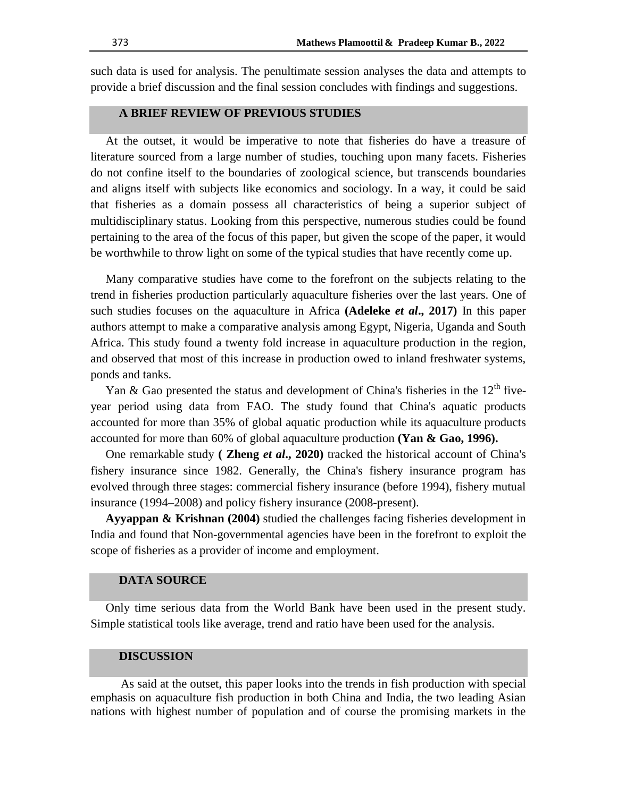such data is used for analysis. The penultimate session analyses the data and attempts to provide a brief discussion and the final session concludes with findings and suggestions.

### **A BRIEF REVIEW OF PREVIOUS STUDIES**

 At the outset, it would be imperative to note that fisheries do have a treasure of literature sourced from a large number of studies, touching upon many facets. Fisheries do not confine itself to the boundaries of zoological science, but transcends boundaries and aligns itself with subjects like economics and sociology. In a way, it could be said that fisheries as a domain possess all characteristics of being a superior subject of multidisciplinary status. Looking from this perspective, numerous studies could be found pertaining to the area of the focus of this paper, but given the scope of the paper, it would be worthwhile to throw light on some of the typical studies that have recently come up.

 Many comparative studies have come to the forefront on the subjects relating to the trend in fisheries production particularly aquaculture fisheries over the last years. One of such studies focuses on the aquaculture in Africa **(Adeleke** *et al***., 2017)** In this paper authors attempt to make a comparative analysis among Egypt, Nigeria, Uganda and South Africa. This study found a twenty fold increase in aquaculture production in the region, and observed that most of this increase in production owed to inland freshwater systems, ponds and tanks.

Yan & Gao presented the status and development of China's fisheries in the 12<sup>th</sup> fiveyear period using data from FAO. The study found that China's aquatic products accounted for more than 35% of global aquatic production while its aquaculture products accounted for more than 60% of global aquaculture production **(Yan & Gao, 1996).**

 One remarkable study **( Zheng** *et al***., 2020)** tracked the historical account of China's fishery insurance since 1982. Generally, the China's fishery insurance program has evolved through three stages: commercial fishery insurance (before 1994), fishery mutual insurance (1994–2008) and policy fishery insurance (2008-present).

 **Ayyappan & Krishnan (2004)** studied the challenges facing fisheries development in India and found that Non-governmental agencies have been in the forefront to exploit the scope of fisheries as a provider of income and employment.

### **DATA SOURCE**

 Only time serious data from the World Bank have been used in the present study. Simple statistical tools like average, trend and ratio have been used for the analysis.

#### **DISCUSSION**

 As said at the outset, this paper looks into the trends in fish production with special emphasis on aquaculture fish production in both China and India, the two leading Asian nations with highest number of population and of course the promising markets in the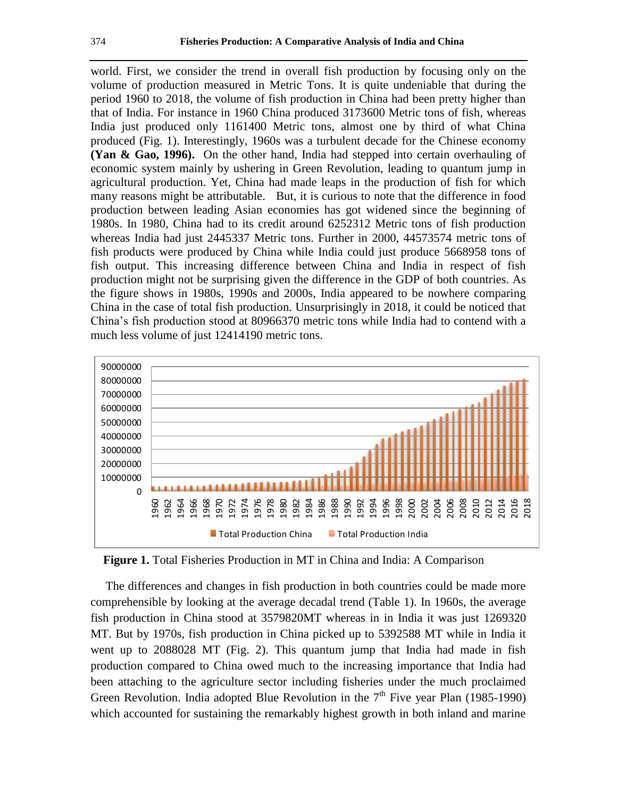world. First, we consider the trend in overall fish production by focusing only on the volume of production measured in Metric Tons. It is quite undeniable that during the period 1960 to 2018, the volume of fish production in China had been pretty higher than that of India. For instance in 1960 China produced 3173600 Metric tons of fish, whereas India just produced only 1161400 Metric tons, almost one by third of what China produced (Fig. 1). Interestingly, 1960s was a turbulent decade for the Chinese economy **(Yan & Gao, 1996).** On the other hand, India had stepped into certain overhauling of economic system mainly by ushering in Green Revolution, leading to quantum jump in agricultural production. Yet, China had made leaps in the production of fish for which many reasons might be attributable. But, it is curious to note that the difference in food production between leading Asian economies has got widened since the beginning of 1980s. In 1980, China had to its credit around 6252312 Metric tons of fish production whereas India had just 2445337 Metric tons. Further in 2000, 44573574 metric tons of fish products were produced by China while India could just produce 5668958 tons of fish output. This increasing difference between China and India in respect of fish production might not be surprising given the difference in the GDP of both countries. As the figure shows in 1980s, 1990s and 2000s, India appeared to be nowhere comparing China in the case of total fish production. Unsurprisingly in 2018, it could be noticed that China's fish production stood at 80966370 metric tons while India had to contend with a much less volume of just 12414190 metric tons.



**Figure 1.** Total Fisheries Production in MT in China and India: A Comparison

 The differences and changes in fish production in both countries could be made more comprehensible by looking at the average decadal trend (Table 1). In 1960s, the average fish production in China stood at 3579820MT whereas in in India it was just 1269320 MT. But by 1970s, fish production in China picked up to 5392588 MT while in India it went up to 2088028 MT (Fig. 2). This quantum jump that India had made in fish production compared to China owed much to the increasing importance that India had been attaching to the agriculture sector including fisheries under the much proclaimed Green Revolution. India adopted Blue Revolution in the  $7<sup>th</sup>$  Five year Plan (1985-1990) which accounted for sustaining the remarkably highest growth in both inland and marine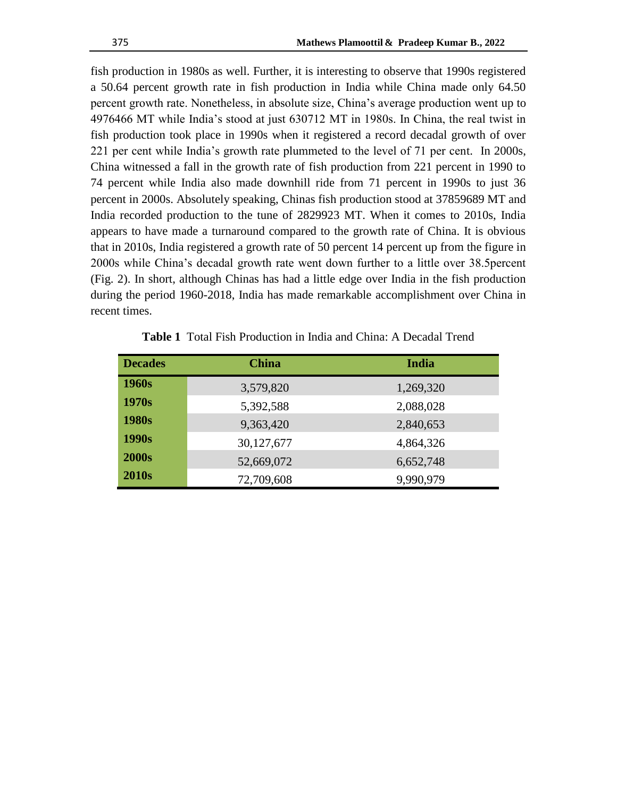fish production in 1980s as well. Further, it is interesting to observe that 1990s registered a 50.64 percent growth rate in fish production in India while China made only 64.50 percent growth rate. Nonetheless, in absolute size, China's average production went up to 4976466 MT while India's stood at just 630712 MT in 1980s. In China, the real twist in fish production took place in 1990s when it registered a record decadal growth of over 221 per cent while India's growth rate plummeted to the level of 71 per cent. In 2000s, China witnessed a fall in the growth rate of fish production from 221 percent in 1990 to 74 percent while India also made downhill ride from 71 percent in 1990s to just 36 percent in 2000s. Absolutely speaking, Chinas fish production stood at 37859689 MT and India recorded production to the tune of 2829923 MT. When it comes to 2010s, India appears to have made a turnaround compared to the growth rate of China. It is obvious that in 2010s, India registered a growth rate of 50 percent 14 percent up from the figure in 2000s while China's decadal growth rate went down further to a little over 38.5percent (Fig. 2). In short, although Chinas has had a little edge over India in the fish production during the period 1960-2018, India has made remarkable accomplishment over China in recent times.

| <b>Decades</b> | <b>China</b> | India     |
|----------------|--------------|-----------|
| 1960s          | 3,579,820    | 1,269,320 |
| 1970s          | 5,392,588    | 2,088,028 |
| 1980s          | 9,363,420    | 2,840,653 |
| 1990s          | 30,127,677   | 4,864,326 |
| <b>2000s</b>   | 52,669,072   | 6,652,748 |
| <b>2010s</b>   | 72,709,608   | 9,990,979 |

**Table 1** Total Fish Production in India and China: A Decadal Trend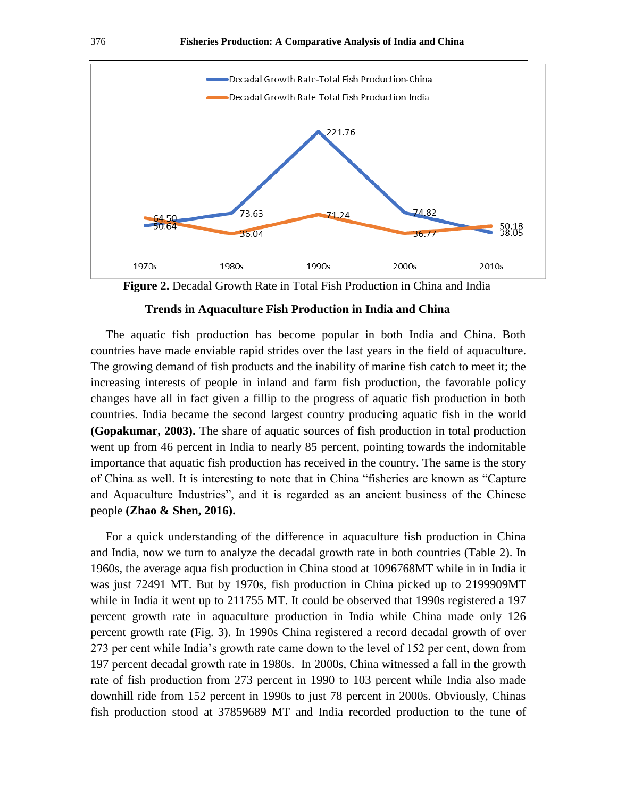

**Figure 2.** Decadal Growth Rate in Total Fish Production in China and India

### **Trends in Aquaculture Fish Production in India and China**

The aquatic fish production has become popular in both India and China. Both countries have made enviable rapid strides over the last years in the field of aquaculture. The growing demand of fish products and the inability of marine fish catch to meet it; the increasing interests of people in inland and farm fish production, the favorable policy changes have all in fact given a fillip to the progress of aquatic fish production in both countries. India became the second largest country producing aquatic fish in the world **(Gopakumar, 2003).** The share of aquatic sources of fish production in total production went up from 46 percent in India to nearly 85 percent, pointing towards the indomitable importance that aquatic fish production has received in the country. The same is the story of China as well. It is interesting to note that in China "fisheries are known as "Capture and Aquaculture Industries", and it is regarded as an ancient business of the Chinese people **(Zhao & Shen, 2016).**

 For a quick understanding of the difference in aquaculture fish production in China and India, now we turn to analyze the decadal growth rate in both countries (Table 2). In 1960s, the average aqua fish production in China stood at 1096768MT while in in India it was just 72491 MT. But by 1970s, fish production in China picked up to 2199909MT while in India it went up to 211755 MT. It could be observed that 1990s registered a 197 percent growth rate in aquaculture production in India while China made only 126 percent growth rate (Fig. 3). In 1990s China registered a record decadal growth of over 273 per cent while India's growth rate came down to the level of 152 per cent, down from 197 percent decadal growth rate in 1980s. In 2000s, China witnessed a fall in the growth rate of fish production from 273 percent in 1990 to 103 percent while India also made downhill ride from 152 percent in 1990s to just 78 percent in 2000s. Obviously, Chinas fish production stood at 37859689 MT and India recorded production to the tune of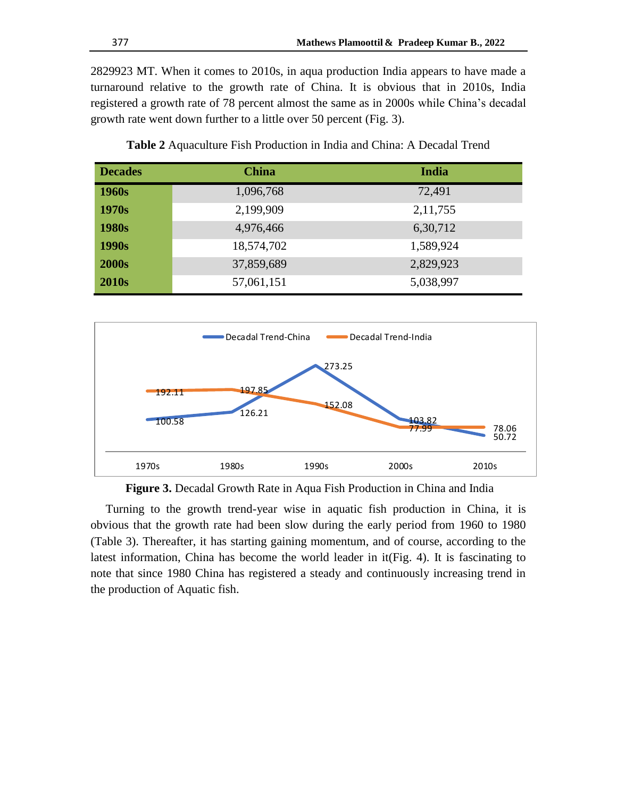2829923 MT. When it comes to 2010s, in aqua production India appears to have made a turnaround relative to the growth rate of China. It is obvious that in 2010s, India registered a growth rate of 78 percent almost the same as in 2000s while China's decadal growth rate went down further to a little over 50 percent (Fig. 3).

| <b>Decades</b>    | <b>China</b> | India      |
|-------------------|--------------|------------|
| 1960s             | 1,096,768    | 72,491     |
| 1970s             | 2,199,909    | 2, 11, 755 |
| 1980s             | 4,976,466    | 6,30,712   |
| 1990 <sub>s</sub> | 18,574,702   | 1,589,924  |
| <b>2000s</b>      | 37,859,689   | 2,829,923  |
| <b>2010s</b>      | 57,061,151   | 5,038,997  |

**Table 2** Aquaculture Fish Production in India and China: A Decadal Trend





 Turning to the growth trend-year wise in aquatic fish production in China, it is obvious that the growth rate had been slow during the early period from 1960 to 1980 (Table 3). Thereafter, it has starting gaining momentum, and of course, according to the latest information, China has become the world leader in it(Fig. 4). It is fascinating to note that since 1980 China has registered a steady and continuously increasing trend in the production of Aquatic fish.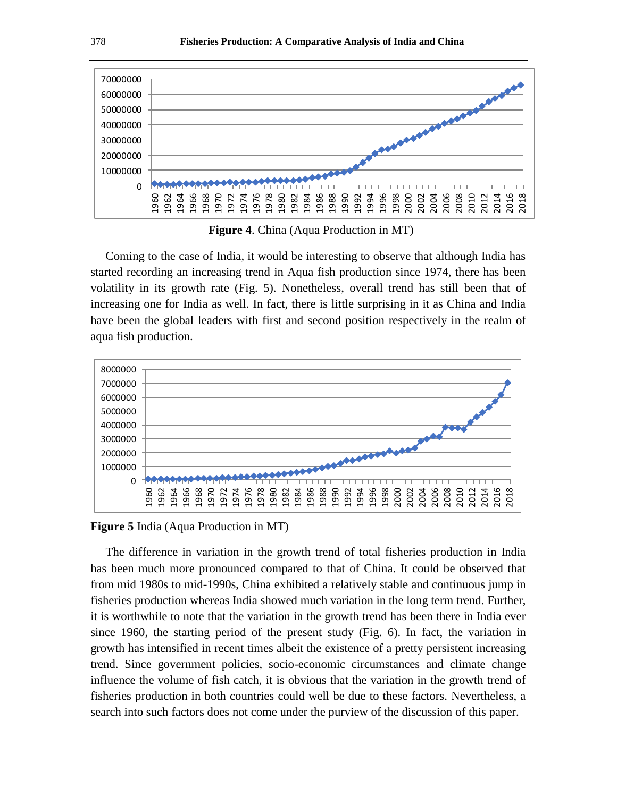

 **Figure 4**. China (Aqua Production in MT)

 Coming to the case of India, it would be interesting to observe that although India has started recording an increasing trend in Aqua fish production since 1974, there has been volatility in its growth rate (Fig. 5). Nonetheless, overall trend has still been that of increasing one for India as well. In fact, there is little surprising in it as China and India have been the global leaders with first and second position respectively in the realm of aqua fish production.



**Figure 5** India (Aqua Production in MT)

 The difference in variation in the growth trend of total fisheries production in India has been much more pronounced compared to that of China. It could be observed that from mid 1980s to mid-1990s, China exhibited a relatively stable and continuous jump in fisheries production whereas India showed much variation in the long term trend. Further, it is worthwhile to note that the variation in the growth trend has been there in India ever since 1960, the starting period of the present study (Fig. 6). In fact, the variation in growth has intensified in recent times albeit the existence of a pretty persistent increasing trend. Since government policies, socio-economic circumstances and climate change influence the volume of fish catch, it is obvious that the variation in the growth trend of fisheries production in both countries could well be due to these factors. Nevertheless, a search into such factors does not come under the purview of the discussion of this paper.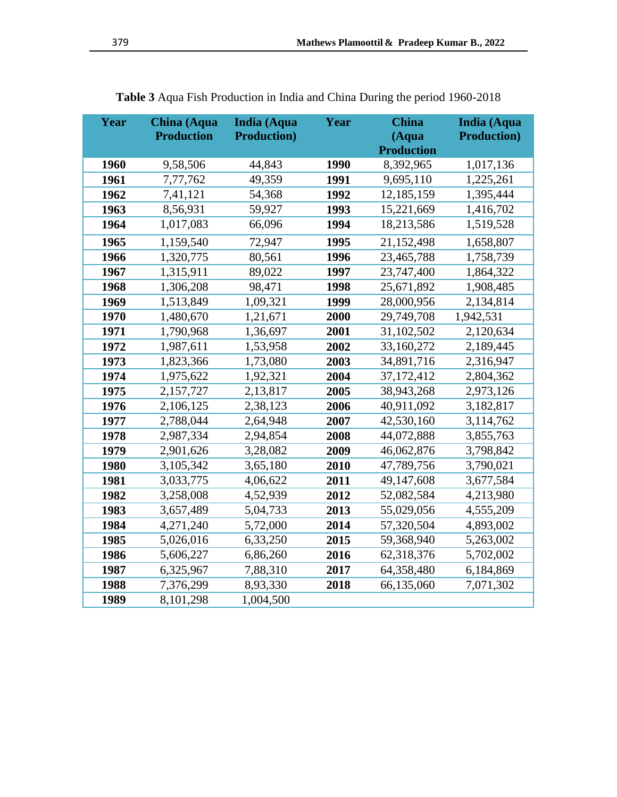| Year | China (Aqua<br><b>Production</b> | <b>India (Aqua</b><br><b>Production</b> ) | Year | <b>China</b><br>(Aqua<br><b>Production</b> | <b>India (Aqua</b><br><b>Production</b> ) |
|------|----------------------------------|-------------------------------------------|------|--------------------------------------------|-------------------------------------------|
| 1960 | 9,58,506                         | 44,843                                    | 1990 | 8,392,965                                  | 1,017,136                                 |
| 1961 | 7,77,762                         | 49,359                                    | 1991 | 9,695,110                                  | 1,225,261                                 |
| 1962 | 7,41,121                         | 54,368                                    | 1992 | 12,185,159                                 | 1,395,444                                 |
| 1963 | 8,56,931                         | 59,927                                    | 1993 | 15,221,669                                 | 1,416,702                                 |
| 1964 | 1,017,083                        | 66,096                                    | 1994 | 18,213,586                                 | 1,519,528                                 |
| 1965 | 1,159,540                        | 72,947                                    | 1995 | 21,152,498                                 | 1,658,807                                 |
| 1966 | 1,320,775                        | 80,561                                    | 1996 | 23,465,788                                 | 1,758,739                                 |
| 1967 | 1,315,911                        | 89,022                                    | 1997 | 23,747,400                                 | 1,864,322                                 |
| 1968 | 1,306,208                        | 98,471                                    | 1998 | 25,671,892                                 | 1,908,485                                 |
| 1969 | 1,513,849                        | 1,09,321                                  | 1999 | 28,000,956                                 | 2,134,814                                 |
| 1970 | 1,480,670                        | 1,21,671                                  | 2000 | 29,749,708                                 | 1,942,531                                 |
| 1971 | 1,790,968                        | 1,36,697                                  | 2001 | 31,102,502                                 | 2,120,634                                 |
| 1972 | 1,987,611                        | 1,53,958                                  | 2002 | 33,160,272                                 | 2,189,445                                 |
| 1973 | 1,823,366                        | 1,73,080                                  | 2003 | 34,891,716                                 | 2,316,947                                 |
| 1974 | 1,975,622                        | 1,92,321                                  | 2004 | 37,172,412                                 | 2,804,362                                 |
| 1975 | 2,157,727                        | 2,13,817                                  | 2005 | 38,943,268                                 | 2,973,126                                 |
| 1976 | 2,106,125                        | 2,38,123                                  | 2006 | 40,911,092                                 | 3,182,817                                 |
| 1977 | 2,788,044                        | 2,64,948                                  | 2007 | 42,530,160                                 | 3,114,762                                 |
| 1978 | 2,987,334                        | 2,94,854                                  | 2008 | 44,072,888                                 | 3,855,763                                 |
| 1979 | 2,901,626                        | 3,28,082                                  | 2009 | 46,062,876                                 | 3,798,842                                 |
| 1980 | 3,105,342                        | 3,65,180                                  | 2010 | 47,789,756                                 | 3,790,021                                 |
| 1981 | 3,033,775                        | 4,06,622                                  | 2011 | 49,147,608                                 | 3,677,584                                 |
| 1982 | 3,258,008                        | 4,52,939                                  | 2012 | 52,082,584                                 | 4,213,980                                 |
| 1983 | 3,657,489                        | 5,04,733                                  | 2013 | 55,029,056                                 | 4,555,209                                 |
| 1984 | 4,271,240                        | 5,72,000                                  | 2014 | 57,320,504                                 | 4,893,002                                 |
| 1985 | 5,026,016                        | 6,33,250                                  | 2015 | 59,368,940                                 | 5,263,002                                 |
| 1986 | 5,606,227                        | 6,86,260                                  | 2016 | 62,318,376                                 | 5,702,002                                 |
| 1987 | 6,325,967                        | 7,88,310                                  | 2017 | 64,358,480                                 | 6,184,869                                 |
| 1988 | 7,376,299                        | 8,93,330                                  | 2018 | 66,135,060                                 | 7,071,302                                 |
| 1989 | 8,101,298                        | 1,004,500                                 |      |                                            |                                           |

**Table 3** Aqua Fish Production in India and China During the period 1960-2018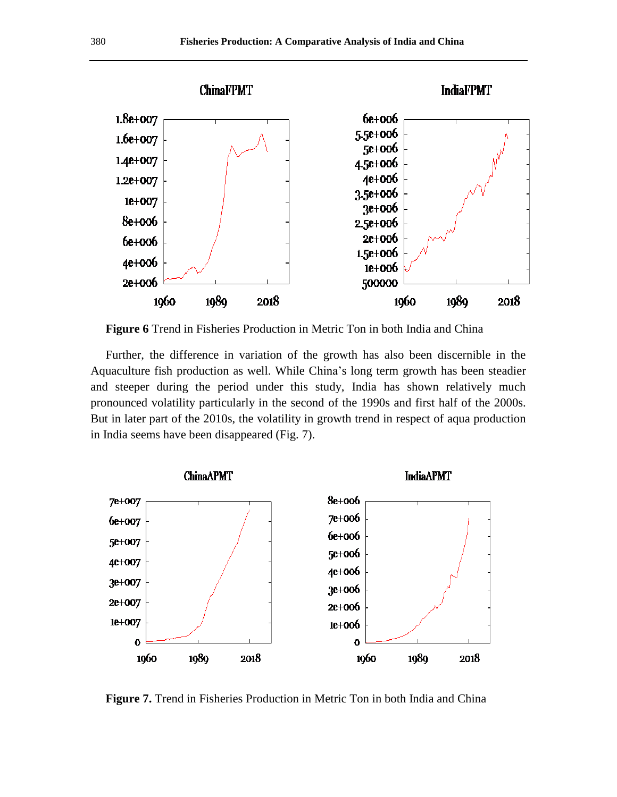

 **Figure 6** Trend in Fisheries Production in Metric Ton in both India and China

 Further, the difference in variation of the growth has also been discernible in the Aquaculture fish production as well. While China's long term growth has been steadier and steeper during the period under this study, India has shown relatively much pronounced volatility particularly in the second of the 1990s and first half of the 2000s. But in later part of the 2010s, the volatility in growth trend in respect of aqua production in India seems have been disappeared (Fig. 7).



**Figure 7.** Trend in Fisheries Production in Metric Ton in both India and China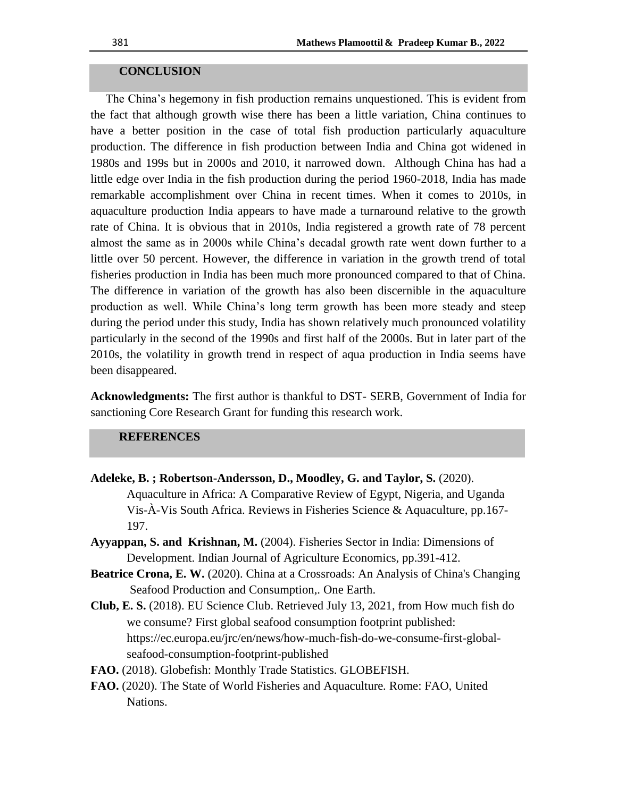# **CONCLUSION**

The China's hegemony in fish production remains unquestioned. This is evident from the fact that although growth wise there has been a little variation, China continues to have a better position in the case of total fish production particularly aquaculture production. The difference in fish production between India and China got widened in 1980s and 199s but in 2000s and 2010, it narrowed down. Although China has had a little edge over India in the fish production during the period 1960-2018, India has made remarkable accomplishment over China in recent times. When it comes to 2010s, in aquaculture production India appears to have made a turnaround relative to the growth rate of China. It is obvious that in 2010s, India registered a growth rate of 78 percent almost the same as in 2000s while China's decadal growth rate went down further to a little over 50 percent. However, the difference in variation in the growth trend of total fisheries production in India has been much more pronounced compared to that of China. The difference in variation of the growth has also been discernible in the aquaculture production as well. While China's long term growth has been more steady and steep during the period under this study, India has shown relatively much pronounced volatility particularly in the second of the 1990s and first half of the 2000s. But in later part of the 2010s, the volatility in growth trend in respect of aqua production in India seems have been disappeared.

**Acknowledgments:** The first author is thankful to DST- SERB, Government of India for sanctioning Core Research Grant for funding this research work.

# **REFERENCES**

- **Adeleke, B. ; Robertson-Andersson, D., Moodley, G. and Taylor, S.** (2020). Aquaculture in Africa: A Comparative Review of Egypt, Nigeria, and Uganda Vis-À-Vis South Africa. Reviews in Fisheries Science & Aquaculture, pp.167- 197.
- **Ayyappan, S. and Krishnan, M.** (2004). Fisheries Sector in India: Dimensions of Development. Indian Journal of Agriculture Economics, pp.391-412.
- **Beatrice Crona, E. W.** (2020). China at a Crossroads: An Analysis of China's Changing Seafood Production and Consumption,. One Earth.
- **Club, E. S.** (2018). EU Science Club. Retrieved July 13, 2021, from How much fish do we consume? First global seafood consumption footprint published: https://ec.europa.eu/jrc/en/news/how-much-fish-do-we-consume-first-globalseafood-consumption-footprint-published
- **FAO.** (2018). Globefish: Monthly Trade Statistics. GLOBEFISH.
- **FAO.** (2020). The State of World Fisheries and Aquaculture*.* Rome: FAO, United Nations.